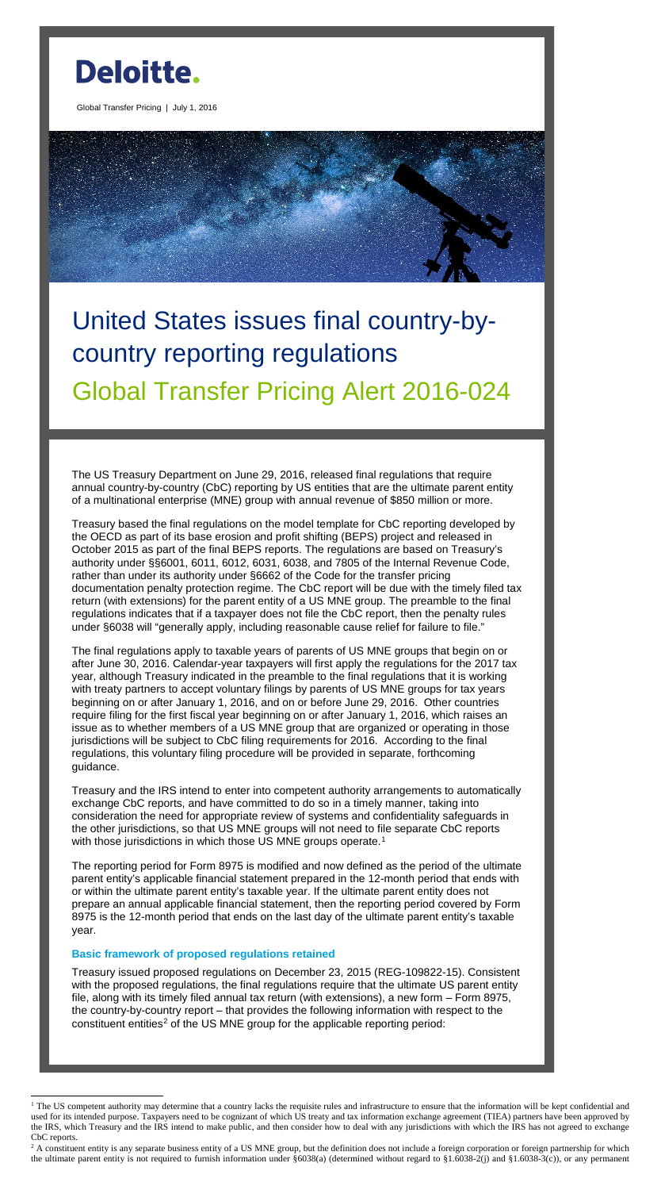

Global Transfer Pricing | July 1, 2016

# United States issues final country-bycountry reporting regulations Global Transfer Pricing Alert 2016-024

The US Treasury Department on June 29, 2016, released final regulations that require annual country-by-country (CbC) reporting by US entities that are the ultimate parent entity of a multinational enterprise (MNE) group with annual revenue of \$850 million or more.

Treasury based the final regulations on the model template for CbC reporting developed by the OECD as part of its base erosion and profit shifting (BEPS) project and released in October 2015 as part of the final BEPS reports. The regulations are based on Treasury's authority under §§6001, 6011, 6012, 6031, 6038, and 7805 of the Internal Revenue Code, rather than under its authority under §6662 of the Code for the transfer pricing documentation penalty protection regime. The CbC report will be due with the timely filed tax return (with extensions) for the parent entity of a US MNE group. The preamble to the final regulations indicates that if a taxpayer does not file the CbC report, then the penalty rules under §6038 will "generally apply, including reasonable cause relief for failure to file."

Treasury and the IRS intend to enter into competent authority arrangements to automatically exchange CbC reports, and have committed to do so in a timely manner, taking into consideration the need for appropriate review of systems and confidentiality safeguards in the other jurisdictions, so that US MNE groups will not need to file separate CbC reports with those jurisdictions in which those US MNE groups operate.<sup>[1](#page-0-0)</sup>

Treasury issued proposed regulations on December 23, 2015 (REG-109822-15). Consistent with the proposed regulations, the final regulations require that the ultimate US parent entity file, along with its timely filed annual tax return (with extensions), a new form – Form 8975, the country-by-country report – that provides the following information with respect to the constituent entities<sup>[2](#page-0-1)</sup> of the US MNE group for the applicable reporting period:

The final regulations apply to taxable years of parents of US MNE groups that begin on or after June 30, 2016. Calendar-year taxpayers will first apply the regulations for the 2017 tax year, although Treasury indicated in the preamble to the final regulations that it is working with treaty partners to accept voluntary filings by parents of US MNE groups for tax years beginning on or after January 1, 2016, and on or before June 29, 2016. Other countries require filing for the first fiscal year beginning on or after January 1, 2016, which raises an issue as to whether members of a US MNE group that are organized or operating in those jurisdictions will be subject to CbC filing requirements for 2016. According to the final regulations, this voluntary filing procedure will be provided in separate, forthcoming guidance.

The reporting period for Form 8975 is modified and now defined as the period of the ultimate parent entity's applicable financial statement prepared in the 12-month period that ends with or within the ultimate parent entity's taxable year. If the ultimate parent entity does not prepare an annual applicable financial statement, then the reporting period covered by Form 8975 is the 12-month period that ends on the last day of the ultimate parent entity's taxable year.

## **Basic framework of proposed regulations retained**

 $\overline{a}$ 

<span id="page-0-0"></span> $1$  The US competent authority may determine that a country lacks the requisite rules and infrastructure to ensure that the information will be kept confidential and used for its intended purpose. Taxpayers need to be cognizant of which US treaty and tax information exchange agreement (TIEA) partners have been approved by the IRS, which Treasury and the IRS intend to make public, and then consider how to deal with any jurisdictions with which the IRS has not agreed to exchange CbC reports.

<span id="page-0-1"></span> $2^2$  A constituent entity is any separate business entity of a US MNE group, but the definition does not include a foreign corporation or foreign partnership for which the ultimate parent entity is not required to furnish information under  $\S 6038(a)$  (determined without regard to  $\S 1.6038-2(j)$  and  $\S 1.6038-3(c)$ ), or any permanent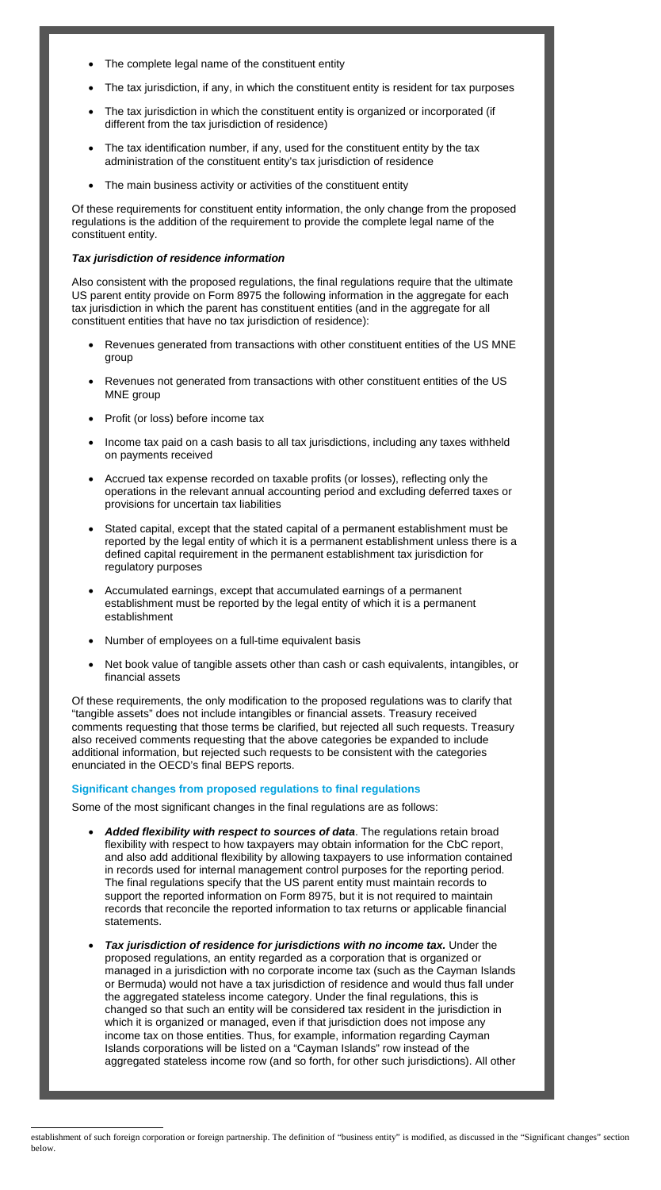- The complete legal name of the constituent entity
- The tax jurisdiction, if any, in which the constituent entity is resident for tax purposes
- The tax jurisdiction in which the constituent entity is organized or incorporated (if different from the tax jurisdiction of residence)
- The tax identification number, if any, used for the constituent entity by the tax administration of the constituent entity's tax jurisdiction of residence
- The main business activity or activities of the constituent entity

Of these requirements for constituent entity information, the only change from the proposed regulations is the addition of the requirement to provide the complete legal name of the constituent entity.

# *Tax jurisdiction of residence information*

Also consistent with the proposed regulations, the final regulations require that the ultimate US parent entity provide on Form 8975 the following information in the aggregate for each tax jurisdiction in which the parent has constituent entities (and in the aggregate for all constituent entities that have no tax jurisdiction of residence):

- Revenues generated from transactions with other constituent entities of the US MNE group
- Revenues not generated from transactions with other constituent entities of the US MNE group
- Profit (or loss) before income tax
- Income tax paid on a cash basis to all tax jurisdictions, including any taxes withheld on payments received
- Accrued tax expense recorded on taxable profits (or losses), reflecting only the operations in the relevant annual accounting period and excluding deferred taxes or provisions for uncertain tax liabilities
- Stated capital, except that the stated capital of a permanent establishment must be reported by the legal entity of which it is a permanent establishment unless there is a defined capital requirement in the permanent establishment tax jurisdiction for regulatory purposes
- Accumulated earnings, except that accumulated earnings of a permanent establishment must be reported by the legal entity of which it is a permanent establishment
- Number of employees on a full-time equivalent basis
- Net book value of tangible assets other than cash or cash equivalents, intangibles, or financial assets

Of these requirements, the only modification to the proposed regulations was to clarify that "tangible assets" does not include intangibles or financial assets. Treasury received comments requesting that those terms be clarified, but rejected all such requests. Treasury also received comments requesting that the above categories be expanded to include additional information, but rejected such requests to be consistent with the categories enunciated in the OECD's final BEPS reports.

# **Significant changes from proposed regulations to final regulations**

Some of the most significant changes in the final regulations are as follows:

- *Added flexibility with respect to sources of data*. The regulations retain broad flexibility with respect to how taxpayers may obtain information for the CbC report, and also add additional flexibility by allowing taxpayers to use information contained in records used for internal management control purposes for the reporting period. The final regulations specify that the US parent entity must maintain records to support the reported information on Form 8975, but it is not required to maintain records that reconcile the reported information to tax returns or applicable financial statements.
- *Tax jurisdiction of residence for jurisdictions with no income tax.* Under the proposed regulations, an entity regarded as a corporation that is organized or managed in a jurisdiction with no corporate income tax (such as the Cayman Islands or Bermuda) would not have a tax jurisdiction of residence and would thus fall under the aggregated stateless income category. Under the final regulations, this is changed so that such an entity will be considered tax resident in the jurisdiction in which it is organized or managed, even if that jurisdiction does not impose any income tax on those entities. Thus, for example, information regarding Cayman Islands corporations will be listed on a "Cayman Islands" row instead of the aggregated stateless income row (and so forth, for other such jurisdictions). All other

 $\overline{a}$ establishment of such foreign corporation or foreign partnership. The definition of "business entity" is modified, as discussed in the "Significant changes" section below.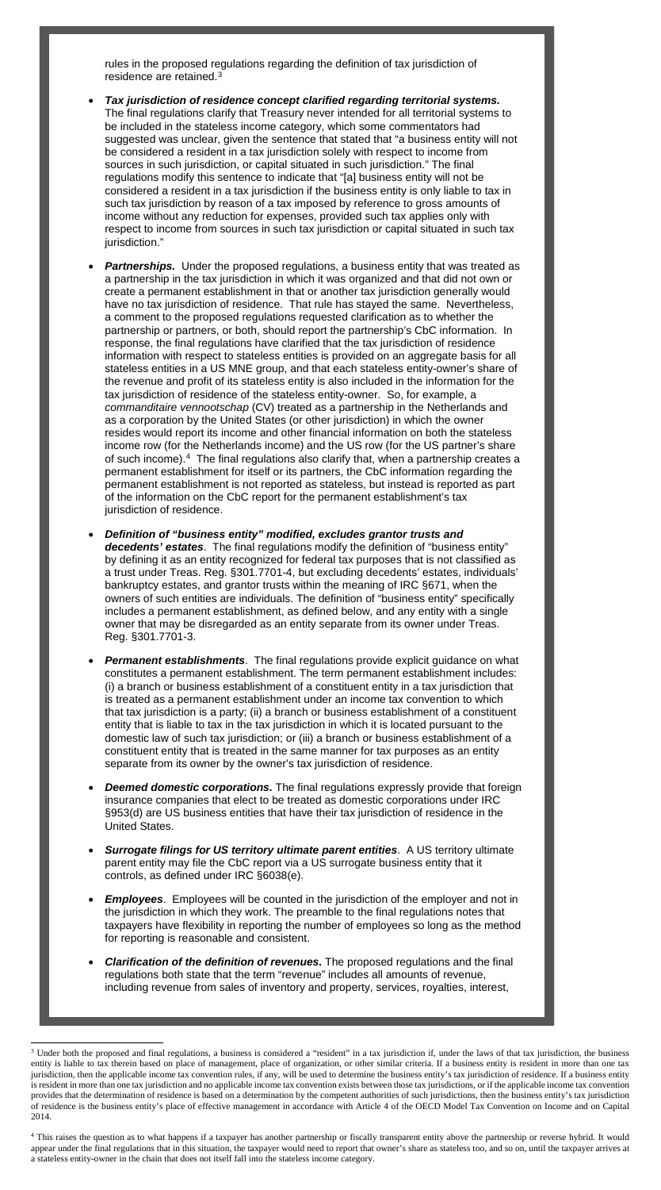rules in the proposed regulations regarding the definition of tax jurisdiction of residence are retained. [3](#page-2-0)

- *Tax jurisdiction of residence concept clarified regarding territorial systems.* The final regulations clarify that Treasury never intended for all territorial systems to be included in the stateless income category, which some commentators had suggested was unclear, given the sentence that stated that "a business entity will not be considered a resident in a tax jurisdiction solely with respect to income from sources in such jurisdiction, or capital situated in such jurisdiction." The final regulations modify this sentence to indicate that "[a] business entity will not be considered a resident in a tax jurisdiction if the business entity is only liable to tax in such tax jurisdiction by reason of a tax imposed by reference to gross amounts of income without any reduction for expenses, provided such tax applies only with respect to income from sources in such tax jurisdiction or capital situated in such tax jurisdiction."
- **Partnerships.** Under the proposed regulations, a business entity that was treated as a partnership in the tax jurisdiction in which it was organized and that did not own or create a permanent establishment in that or another tax jurisdiction generally would have no tax jurisdiction of residence. That rule has stayed the same. Nevertheless, a comment to the proposed regulations requested clarification as to whether the partnership or partners, or both, should report the partnership's CbC information. In response, the final regulations have clarified that the tax jurisdiction of residence information with respect to stateless entities is provided on an aggregate basis for all stateless entities in a US MNE group, and that each stateless entity-owner's share of the revenue and profit of its stateless entity is also included in the information for the tax jurisdiction of residence of the stateless entity-owner. So, for example, a *commanditaire vennootschap* (CV) treated as a partnership in the Netherlands and as a corporation by the United States (or other jurisdiction) in which the owner resides would report its income and other financial information on both the stateless income row (for the Netherlands income) and the US row (for the US partner's share of such income).[4](#page-2-1) The final regulations also clarify that, when a partnership creates a permanent establishment for itself or its partners, the CbC information regarding the permanent establishment is not reported as stateless, but instead is reported as part of the information on the CbC report for the permanent establishment's tax jurisdiction of residence.
- *Definition of "business entity" modified, excludes grantor trusts and decedents' estates*. The final regulations modify the definition of "business entity" by defining it as an entity recognized for federal tax purposes that is not classified as a trust under Treas. Reg. §301.7701-4, but excluding decedents' estates, individuals' bankruptcy estates, and grantor trusts within the meaning of IRC §671, when the owners of such entities are individuals. The definition of "business entity" specifically includes a permanent establishment, as defined below, and any entity with a single owner that may be disregarded as an entity separate from its owner under Treas. Reg. §301.7701-3.
- *Permanent establishments*. The final regulations provide explicit guidance on what constitutes a permanent establishment. The term permanent establishment includes: (i) a branch or business establishment of a constituent entity in a tax jurisdiction that is treated as a permanent establishment under an income tax convention to which that tax jurisdiction is a party; (ii) a branch or business establishment of a constituent entity that is liable to tax in the tax jurisdiction in which it is located pursuant to the domestic law of such tax jurisdiction; or (iii) a branch or business establishment of a constituent entity that is treated in the same manner for tax purposes as an entity separate from its owner by the owner's tax jurisdiction of residence.
- **Deemed domestic corporations.** The final regulations expressly provide that foreign insurance companies that elect to be treated as domestic corporations under IRC §953(d) are US business entities that have their tax jurisdiction of residence in the
- United States.
- *Surrogate filings for US territory ultimate parent entities*. A US territory ultimate parent entity may file the CbC report via a US surrogate business entity that it controls, as defined under IRC §6038(e).
- *Employees*. Employees will be counted in the jurisdiction of the employer and not in the jurisdiction in which they work. The preamble to the final regulations notes that taxpayers have flexibility in reporting the number of employees so long as the method for reporting is reasonable and consistent.
- *Clarification of the definition of revenues.* The proposed regulations and the final regulations both state that the term "revenue" includes all amounts of revenue, including revenue from sales of inventory and property, services, royalties, interest,

 $\overline{a}$ 

<span id="page-2-0"></span><sup>&</sup>lt;sup>3</sup> Under both the proposed and final regulations, a business is considered a "resident" in a tax jurisdiction if, under the laws of that tax jurisdiction, the business entity is liable to tax therein based on place of management, place of organization, or other similar criteria. If a business entity is resident in more than one tax jurisdiction, then the applicable income tax convention rules, if any, will be used to determine the business entity's tax jurisdiction of residence. If a business entity is resident in more than one tax jurisdiction and no applicable income tax convention exists between those tax jurisdictions, or if the applicable income tax convention provides that the determination of residence is based on a determination by the competent authorities of such jurisdictions, then the business entity's tax jurisdiction of residence is the business entity's place of effective management in accordance with Article 4 of the OECD Model Tax Convention on Income and on Capital 2014.

<span id="page-2-1"></span><sup>&</sup>lt;sup>4</sup> This raises the question as to what happens if a taxpayer has another partnership or fiscally transparent entity above the partnership or reverse hybrid. It would appear under the final regulations that in this situation, the taxpayer would need to report that owner's share as stateless too, and so on, until the taxpayer arrives at a stateless entity-owner in the chain that does not itself fall into the stateless income category.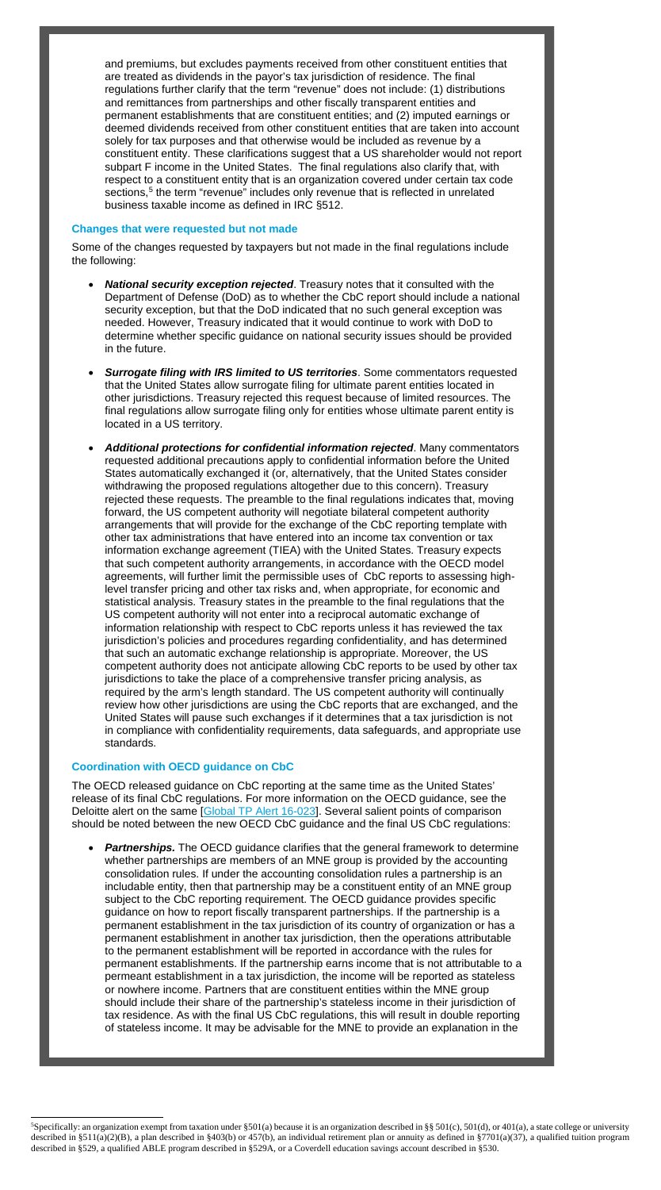and premiums, but excludes payments received from other constituent entities that are treated as dividends in the payor's tax jurisdiction of residence. The final regulations further clarify that the term "revenue" does not include: (1) distributions and remittances from partnerships and other fiscally transparent entities and permanent establishments that are constituent entities; and (2) imputed earnings or deemed dividends received from other constituent entities that are taken into account solely for tax purposes and that otherwise would be included as revenue by a constituent entity. These clarifications suggest that a US shareholder would not report subpart F income in the United States. The final regulations also clarify that, with respect to a constituent entity that is an organization covered under certain tax code sections, [5](#page-3-0) the term "revenue" includes only revenue that is reflected in unrelated business taxable income as defined in IRC §512.

#### **Changes that were requested but not made**

Some of the changes requested by taxpayers but not made in the final regulations include the following:

- *National security exception rejected*. Treasury notes that it consulted with the Department of Defense (DoD) as to whether the CbC report should include a national security exception, but that the DoD indicated that no such general exception was needed. However, Treasury indicated that it would continue to work with DoD to determine whether specific guidance on national security issues should be provided in the future.
- *Surrogate filing with IRS limited to US territories*. Some commentators requested that the United States allow surrogate filing for ultimate parent entities located in other jurisdictions. Treasury rejected this request because of limited resources. The final regulations allow surrogate filing only for entities whose ultimate parent entity is located in a US territory.
- *Additional protections for confidential information rejected*. Many commentators requested additional precautions apply to confidential information before the United States automatically exchanged it (or, alternatively, that the United States consider withdrawing the proposed regulations altogether due to this concern). Treasury rejected these requests. The preamble to the final regulations indicates that, moving forward, the US competent authority will negotiate bilateral competent authority arrangements that will provide for the exchange of the CbC reporting template with other tax administrations that have entered into an income tax convention or tax information exchange agreement (TIEA) with the United States. Treasury expects that such competent authority arrangements, in accordance with the OECD model agreements, will further limit the permissible uses of CbC reports to assessing highlevel transfer pricing and other tax risks and, when appropriate, for economic and statistical analysis. Treasury states in the preamble to the final regulations that the US competent authority will not enter into a reciprocal automatic exchange of information relationship with respect to CbC reports unless it has reviewed the tax jurisdiction's policies and procedures regarding confidentiality, and has determined that such an automatic exchange relationship is appropriate. Moreover, the US competent authority does not anticipate allowing CbC reports to be used by other tax jurisdictions to take the place of a comprehensive transfer pricing analysis, as required by the arm's length standard. The US competent authority will continually review how other jurisdictions are using the CbC reports that are exchanged, and the United States will pause such exchanges if it determines that a tax jurisdiction is not in compliance with confidentiality requirements, data safeguards, and appropriate use standards.

**Partnerships.** The OECD quidance clarifies that the general framework to determine whether partnerships are members of an MNE group is provided by the accounting consolidation rules. If under the accounting consolidation rules a partnership is an includable entity, then that partnership may be a constituent entity of an MNE group subject to the CbC reporting requirement. The OECD guidance provides specific guidance on how to report fiscally transparent partnerships. If the partnership is a permanent establishment in the tax jurisdiction of its country of organization or has a permanent establishment in another tax jurisdiction, then the operations attributable to the permanent establishment will be reported in accordance with the rules for permanent establishments. If the partnership earns income that is not attributable to a permeant establishment in a tax jurisdiction, the income will be reported as stateless or nowhere income. Partners that are constituent entities within the MNE group should include their share of the partnership's stateless income in their jurisdiction of tax residence. As with the final US CbC regulations, this will result in double reporting of stateless income. It may be advisable for the MNE to provide an explanation in the

#### **Coordination with OECD guidance on CbC**

 $\overline{a}$ 

The OECD released guidance on CbC reporting at the same time as the United States' release of its final CbC regulations. For more information on the OECD guidance, see the Deloitte alert on the same [\[Global TP Alert 16-023\]](http://www2.deloitte.com/global/en/pages/tax/articles/global-transfer-pricing-alerts.html). Several salient points of comparison should be noted between the new OECD CbC guidance and the final US CbC regulations:

<span id="page-3-0"></span><sup>&</sup>lt;sup>5</sup>Specifically: an organization exempt from taxation under §501(a) because it is an organization described in §§ 501(c), 501(d), or 401(a), a state college or university described in §511(a)(2)(B), a plan described in §403(b) or 457(b), an individual retirement plan or annuity as defined in §7701(a)(37), a qualified tuition program described in §529, a qualified ABLE program described in §529A, or a Coverdell education savings account described in §530.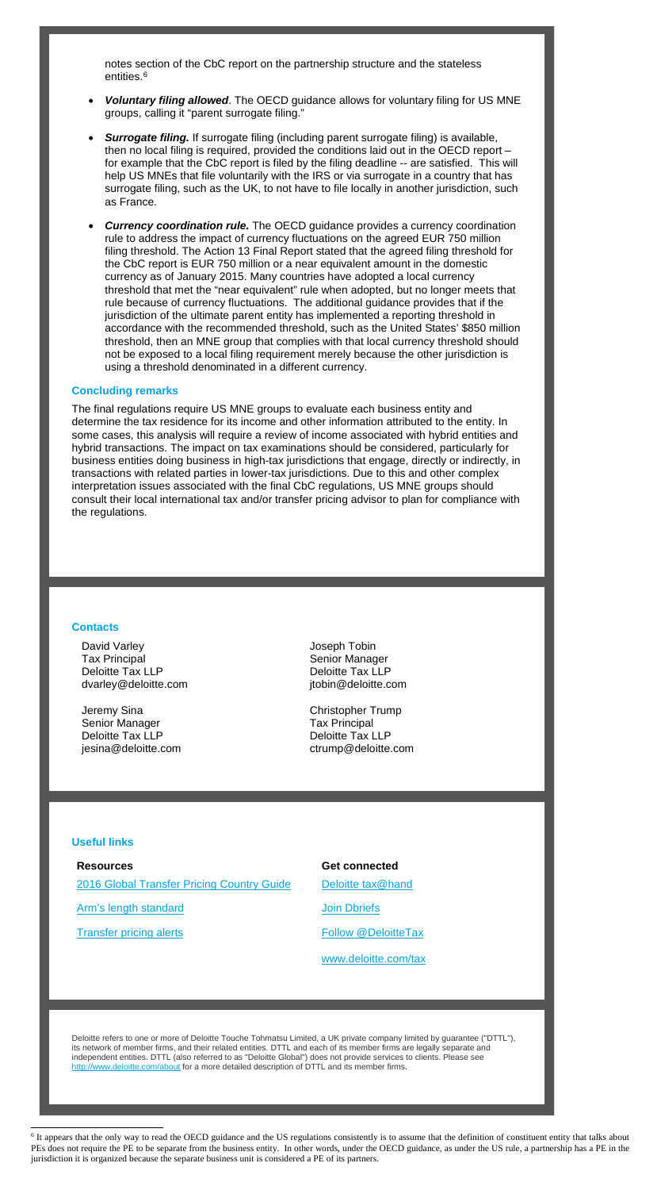notes section of the CbC report on the partnership structure and the stateless entities. [6](#page-4-0)

- *Voluntary filing allowed*. The OECD guidance allows for voluntary filing for US MNE groups, calling it "parent surrogate filing."
- *Surrogate filing.* If surrogate filing (including parent surrogate filing) is available, then no local filing is required, provided the conditions laid out in the OECD report – for example that the CbC report is filed by the filing deadline -- are satisfied. This will help US MNEs that file voluntarily with the IRS or via surrogate in a country that has surrogate filing, such as the UK, to not have to file locally in another jurisdiction, such as France.
- **Currency coordination rule.** The OECD guidance provides a currency coordination rule to address the impact of currency fluctuations on the agreed EUR 750 million filing threshold. The Action 13 Final Report stated that the agreed filing threshold for the CbC report is EUR 750 million or a near equivalent amount in the domestic currency as of January 2015. Many countries have adopted a local currency threshold that met the "near equivalent" rule when adopted, but no longer meets that rule because of currency fluctuations. The additional guidance provides that if the jurisdiction of the ultimate parent entity has implemented a reporting threshold in accordance with the recommended threshold, such as the United States' \$850 million threshold, then an MNE group that complies with that local currency threshold should not be exposed to a local filing requirement merely because the other jurisdiction is using a threshold denominated in a different currency.

#### **Concluding remarks**

The final regulations require US MNE groups to evaluate each business entity and determine the tax residence for its income and other information attributed to the entity. In some cases, this analysis will require a review of income associated with hybrid entities and hybrid transactions. The impact on tax examinations should be considered, particularly for business entities doing business in high-tax jurisdictions that engage, directly or indirectly, in transactions with related parties in lower-tax jurisdictions. Due to this and other complex interpretation issues associated with the final CbC regulations, US MNE groups should consult their local international tax and/or transfer pricing advisor to plan for compliance with the regulations.

#### **Contacts**

David Varley Tax Principal Deloitte Tax LLP dvarley@deloitte.com Joseph Tobin Senior Manager Deloitte Tax LLP jtobin@deloitte.com

Jeremy Sina Senior Manager Deloitte Tax LLP jesina@deloitte.com Christopher Trump Tax Principal Deloitte Tax LLP ctrump@deloitte.com

## **Useful links**

#### **Resources**

 $\overline{a}$ 

[2016 Global Transfer Pricing Country Guide](https://www2.deloitte.com/us/en/pages/tax/articles/global-transfer-pricing-country-guide.html)

[Arm's length standard](http://www2.deloitte.com/global/en/pages/tax/articles/arms-length-standard.html)

[Transfer pricing alerts](http://www2.deloitte.com/global/en/pages/tax/articles/global-transfer-pricing-alerts.html)

# **Get connected**

[Deloitte tax@hand](http://www2.deloitte.com/us/en/pages/tax/articles/deloitte-tax-at-hand-mobile-app.html)

[Join Dbriefs](https://www2.deloitte.com/global/en/pages/about-deloitte/articles/dbriefs-webcasts.html)

[Follow @DeloitteTax](http://www.twitter.com/deloittetax)

[www.deloitte.com/tax](http://www.deloitte.com/tax)

Deloitte refers to one or more of Deloitte Touche Tohmatsu Limited, a UK private company limited by guarantee ("DTTL"), its network of member firms, and their related entities. DTTL and each of its member firms are legally separate and independent entities. DTTL (also referred to as "Deloitte Global") does not provide services to clients. Please see http://www.deloitte.com/about for a more detailed description of DTTL and its member firms.

<span id="page-4-0"></span><sup>&</sup>lt;sup>6</sup> It appears that the only way to read the OECD guidance and the US regulations consistently is to assume that the definition of constituent entity that talks about PEs does not require the PE to be separate from the business entity. In other words, under the OECD guidance, as under the US rule, a partnership has a PE in the jurisdiction it is organized because the separate business unit is considered a PE of its partners.